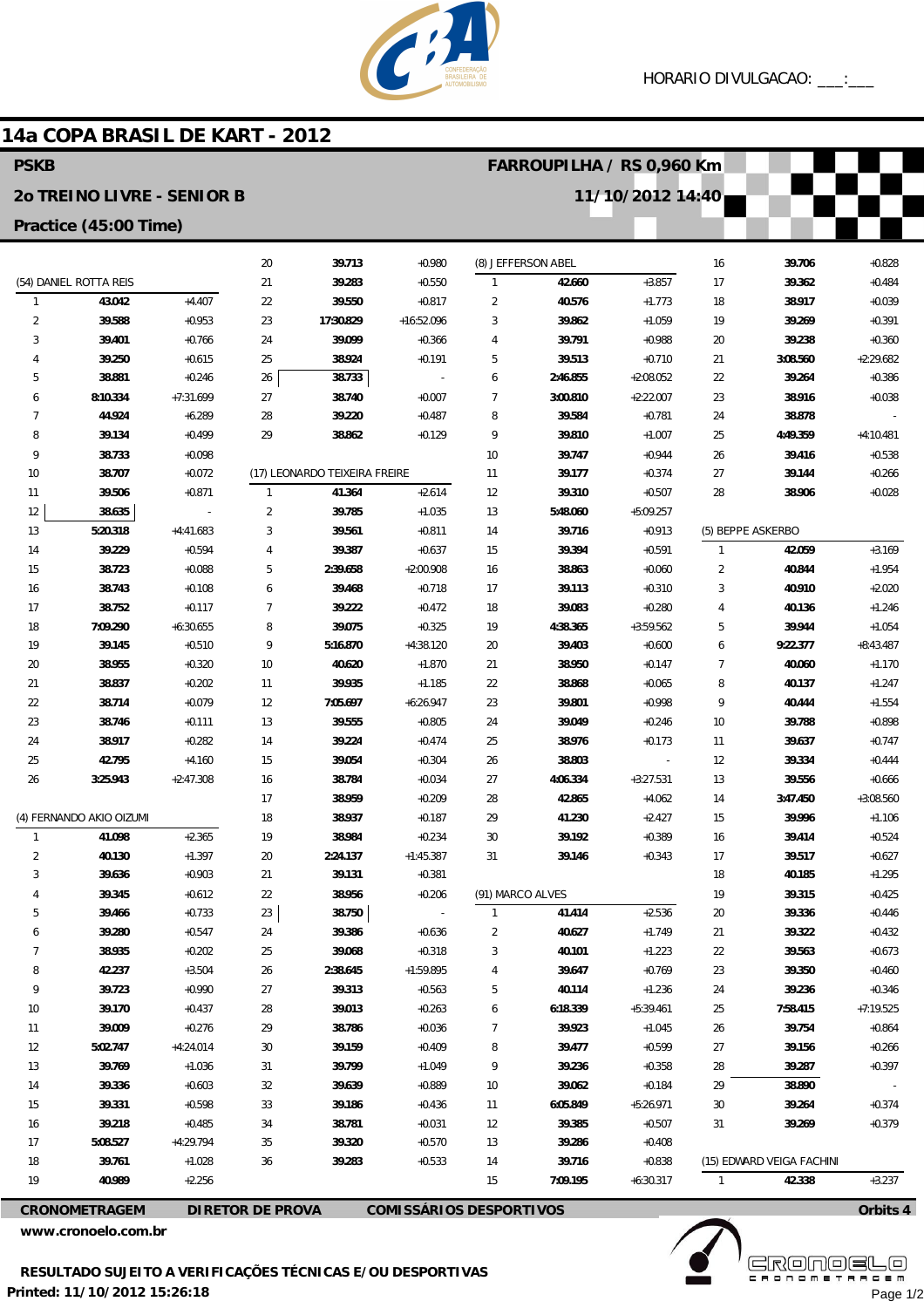

## 14a COPA BRASIL DE KART - 2012

| <b>PSKB</b>                |                        |                      |                               |                     |                                | FARROUPILHA / RS 0,960 Km |                    |                      |                |                           |                      |
|----------------------------|------------------------|----------------------|-------------------------------|---------------------|--------------------------------|---------------------------|--------------------|----------------------|----------------|---------------------------|----------------------|
| 20 TREINO LIVRE - SENIOR B |                        |                      |                               |                     |                                |                           |                    | 11/10/2012 14:40     |                |                           |                      |
| Practice (45:00 Time)      |                        |                      |                               |                     |                                |                           |                    |                      |                |                           |                      |
|                            |                        |                      |                               |                     |                                |                           |                    |                      |                |                           |                      |
|                            |                        |                      | 20                            | 39.713              | $+0.980$                       |                           | (8) JEFFERSON ABEL |                      | 16             | 39.706                    | $+0.828$             |
|                            | (54) DANIEL ROTTA REIS |                      | 21                            | 39.283              | $+0.550$                       | $\mathbf{1}$              | 42.660             | $+3.857$             | 17             | 39.362                    | $+0.484$             |
| $\mathbf{1}$               | 43.042                 | $+4.407$             | 22                            | 39.550              | $+0.817$                       | $\overline{2}$            | 40.576             | $+1.773$             | 18             | 38.917                    | $+0.039$             |
| $\overline{2}$<br>3        | 39.588<br>39.401       | $+0.953$<br>$+0.766$ | 23<br>24                      | 17:30.829<br>39.099 | $+16:52.096$<br>$+0.366$       | 3<br>4                    | 39.862<br>39.791   | $+1.059$<br>$+0.988$ | 19             | 39.269<br>39.238          | $+0.391$<br>$+0.360$ |
| 4                          | 39.250                 | $+0.615$             | 25                            | 38.924              | $+0.191$                       | 5                         | 39.513             | $+0.710$             | 20<br>21       | 3:08.560                  | $+2:29.682$          |
| 5                          | 38.881                 | $+0.246$             | 26                            | 38.733              | $\overline{a}$                 | 6                         | 2:46.855           | $+2:08.052$          | 22             | 39.264                    | $+0.386$             |
| 6                          | 8:10.334               | $+7:31.699$          | 27                            | 38.740              | $+0.007$                       | 7                         | 3:00.810           | $+2:22.007$          | 23             | 38.916                    | $+0.038$             |
| $\overline{7}$             | 44.924                 | $+6.289$             | 28                            | 39.220              | $+0.487$                       | 8                         | 39.584             | $+0.781$             | 24             | 38.878                    |                      |
| 8                          | 39.134                 | $+0.499$             | 29                            | 38.862              | $+0.129$                       | 9                         | 39.810             | $+1.007$             | 25             | 4:49.359                  | $+4:10.481$          |
| 9                          | 38.733                 | $+0.098$             |                               |                     |                                | 10                        | 39.747             | $+0.944$             | 26             | 39.416                    | $+0.538$             |
| 10                         | 38.707                 | $+0.072$             | (17) LEONARDO TEIXEIRA FREIRE |                     | 11                             | 39.177                    | $+0.374$           | 27                   | 39.144         | $+0.266$                  |                      |
| 11                         | 39.506                 | $+0.871$             | $\mathbf{1}$                  | 41.364              | $+2.614$                       | 12                        | 39.310             | $+0.507$             | 28             | 38.906                    | $+0.028$             |
| 12                         | 38.635                 | $\overline{a}$       | $\overline{2}$                | 39.785              | $+1.035$                       | 13                        | 5:48.060           | $+5:09.257$          |                |                           |                      |
| 13                         | 5:20.318               | $+4:41.683$          | 3                             | 39.561              | $+0.811$                       | 14                        | 39.716             | $+0.913$             |                | (5) BEPPE ASKERBO         |                      |
| 14                         | 39.229                 | $+0.594$             | $\overline{4}$                | 39.387              | $+0.637$                       | 15                        | 39.394             | $+0.591$             | $\overline{1}$ | 42.059                    | $+3.169$             |
| 15                         | 38.723                 | $+0.088$             | 5                             | 2:39.658            | $+2:00.908$                    | 16                        | 38.863             | $+0.060$             | $\overline{2}$ | 40.844                    | $+1.954$             |
| 16                         | 38.743                 | $+0.108$             | 6                             | 39.468              | $+0.718$                       | 17                        | 39.113             | $+0.310$             | 3              | 40.910                    | $+2.020$             |
| 17                         | 38.752                 | $+0.117$             | $\overline{7}$                | 39.222              | $+0.472$                       | 18                        | 39.083             | $+0.280$             | 4              | 40.136                    | $+1.246$             |
| 18                         | 7:09.290               | $+6:30.655$          | 8                             | 39.075              | $+0.325$                       | 19                        | 4:38.365           | $+3:59.562$          | 5              | 39.944                    | $+1.054$             |
| 19                         | 39.145                 | $+0.510$             | 9                             | 5:16.870            | $+4:38.120$                    | 20                        | 39.403             | $+0.600$             | 6              | 9:22.377                  | $+8:43.487$          |
| 20                         | 38.955                 | $+0.320$             | 10                            | 40.620              | $+1.870$                       | 21                        | 38.950             | $+0.147$             | 7              | 40.060                    | $+1.170$             |
| 21                         | 38.837                 | $+0.202$             | 11                            | 39.935              | $+1.185$                       | 22                        | 38.868             | $+0.065$             | 8              | 40.137                    | $+1.247$             |
| 22                         | 38.714                 | $+0.079$             | 12                            | 7:05.697            | $+6:26.947$                    | 23                        | 39.801             | $+0.998$             | 9              | 40.444                    | $+1.554$             |
| 23                         | 38.746                 | $+0.111$             | 13                            | 39.555              | $+0.805$                       | 24                        | 39.049             | $+0.246$             | 10             | 39.788                    | $+0.898$             |
| 24                         | 38.917                 | $+0.282$             | 14                            | 39.224              | $+0.474$                       | 25                        | 38.976             | $+0.173$             | 11             | 39.637                    | $+0.747$             |
| 25                         | 42.795                 | $+4.160$             | 15                            | 39.054              | $+0.304$                       | 26                        | 38.803             | $\overline{a}$       | 12             | 39.334                    | $+0.444$             |
| 26                         | 3:25.943               | $+2:47.308$          | 16                            | 38.784              | $+0.034$                       | 27                        | 4:06.334           | $+3:27.531$          | 13             | 39.556                    | $+0.666$             |
|                            |                        |                      | 17                            | 38.959              | $+0.209$                       | 28                        | 42.865             | $+4.062$             | 14             | 3:47.450                  | $+3:08.560$          |
| (4) FERNANDO AKIO OIZUMI   |                        | 18                   | 38.937                        | $+0.187$            | 29                             | 41.230                    | $+2.427$           | 15                   | 39.996         | $+1.106$                  |                      |
| $\mathbf{1}$               | 41.098                 | $+2.365$             | 19                            | 38.984              | $+0.234$                       | 30                        | 39.192             | $+0.389$             | 16             | 39.414                    | $+0.524$             |
| 2                          | 40.130                 | $+1.397$             | 20                            | 2:24.137            | $+1:45.387$                    | 31                        | 39.146             | $+0.343$             | 17             | 39.517                    | $+0.627$             |
| 3                          | 39.636                 | $+0.903$             | 21                            | 39.131              | $+0.381$                       |                           |                    |                      | 18             | 40.185                    | $+1.295$             |
|                            | 39.345                 | $+0.612$             | 22                            | 38.956              | $+0.206$                       | (91) MARCO ALVES          |                    |                      | 19             | 39.315                    | $+0.425$             |
| 5                          | 39.466                 | $+0.733$             | 23                            | 38.750              | $\overline{\phantom{a}}$       | $\mathbf{1}$              | 41.414             | $+2.536$             | 20             | 39.336                    | $+0.446$             |
| 6                          | 39.280                 | $+0.547$             | 24                            | 39.386              | $+0.636$                       | $\overline{2}$            | 40.627             | $+1.749$             | 21             | 39.322                    | $+0.432$             |
| 7                          | 38.935                 | $+0.202$             | 25                            | 39.068              | $+0.318$                       | 3                         | 40.101             | $+1.223$             | 22             | 39.563                    | $+0.673$             |
| 8                          | 42.237                 | $+3.504$             | 26                            | 2:38.645            | $+1:59.895$                    | 4                         | 39.647             | $+0.769$             | 23             | 39.350                    | $+0.460$             |
| 9                          | 39.723                 | $+0.990$             | 27                            | 39.313              | $+0.563$                       | 5                         | 40.114             | $+1.236$             | 24             | 39.236                    | $+0.346$             |
| 10                         | 39.170                 | $+0.437$             | 28                            | 39.013              | $+0.263$                       | 6                         | 6:18.339           | $+5:39.461$          | 25             | 7:58.415                  | $+7:19.525$          |
| 11                         | 39.009                 | $+0.276$             | 29                            | 38.786              | $+0.036$                       | 7                         | 39.923             | $+1.045$             | 26             | 39.754                    | $+0.864$             |
| 12                         | 5:02.747               | $+4:24.014$          | 30                            | 39.159              | $+0.409$                       | 8                         | 39.477             | $+0.599$             | 27             | 39.156                    | $+0.266$             |
| 13                         | 39.769                 | $+1.036$             | 31                            | 39.799              | $+1.049$                       | 9                         | 39.236             | $+0.358$             | 28             | 39.287                    | $+0.397$             |
| 14                         | 39.336                 | $+0.603$             | 32                            | 39.639              | $+0.889$                       | 10                        | 39.062             | $+0.184$             | 29             | 38.890                    |                      |
| 15                         | 39.331                 | $+0.598$             | 33                            | 39.186              | $+0.436$                       | 11                        | 6:05.849           | +5:26.971            | 30             | 39.264                    | $+0.374$             |
| 16                         | 39.218                 | $+0.485$             | 34                            | 38.781              | $+0.031$                       | 12                        | 39.385             | $+0.507$             | 31             | 39.269                    | $+0.379$             |
| 17                         | 5:08.527               | +4:29.794            | 35                            | 39.320              | $+0.570$                       | 13                        | 39.286             | $+0.408$             |                |                           |                      |
| 18                         | 39.761                 | $+1.028$             | 36                            | 39.283              | $+0.533$                       | 14                        | 39.716             | $+0.838$             |                | (15) EDWARD VEIGA FACHINI |                      |
| 19                         | 40.989                 | $+2.256$             |                               |                     |                                | 15                        | 7:09.195           | $+6:30.317$          | $\mathbf{1}$   | 42.338                    | $+3.237$             |
|                            | <b>CRONOMETRAGEM</b>   |                      | <b>DIRETOR DE PROVA</b>       |                     | <b>COMISSÁRIOS DESPORTIVOS</b> |                           |                    |                      |                |                           | Orbits 4             |

www.cronoelo.com.br

GRONOELO

Page 1/2